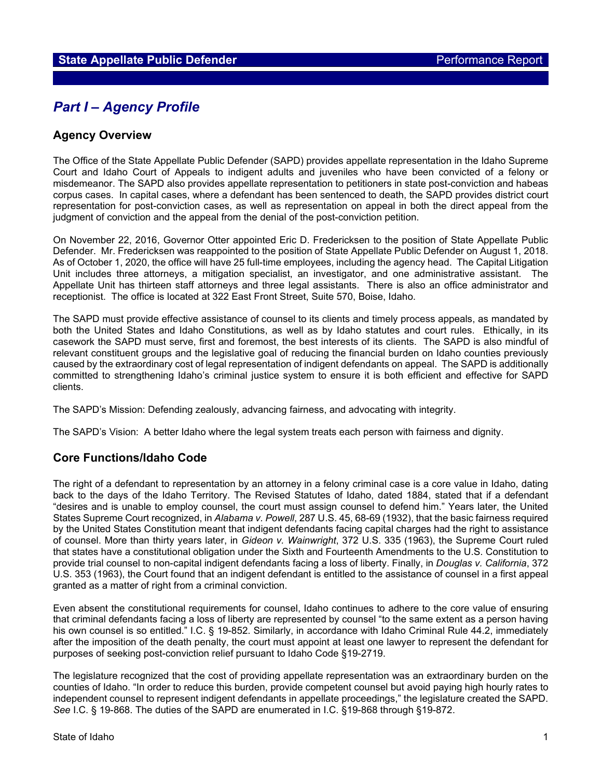# *Part I – Agency Profile*

### **Agency Overview**

The Office of the State Appellate Public Defender (SAPD) provides appellate representation in the Idaho Supreme Court and Idaho Court of Appeals to indigent adults and juveniles who have been convicted of a felony or misdemeanor. The SAPD also provides appellate representation to petitioners in state post-conviction and habeas corpus cases. In capital cases, where a defendant has been sentenced to death, the SAPD provides district court representation for post-conviction cases, as well as representation on appeal in both the direct appeal from the judgment of conviction and the appeal from the denial of the post-conviction petition.

On November 22, 2016, Governor Otter appointed Eric D. Fredericksen to the position of State Appellate Public Defender. Mr. Fredericksen was reappointed to the position of State Appellate Public Defender on August 1, 2018. As of October 1, 2020, the office will have 25 full-time employees, including the agency head. The Capital Litigation Unit includes three attorneys, a mitigation specialist, an investigator, and one administrative assistant. The Appellate Unit has thirteen staff attorneys and three legal assistants. There is also an office administrator and receptionist. The office is located at 322 East Front Street, Suite 570, Boise, Idaho.

The SAPD must provide effective assistance of counsel to its clients and timely process appeals, as mandated by both the United States and Idaho Constitutions, as well as by Idaho statutes and court rules. Ethically, in its casework the SAPD must serve, first and foremost, the best interests of its clients. The SAPD is also mindful of relevant constituent groups and the legislative goal of reducing the financial burden on Idaho counties previously caused by the extraordinary cost of legal representation of indigent defendants on appeal. The SAPD is additionally committed to strengthening Idaho's criminal justice system to ensure it is both efficient and effective for SAPD clients.

The SAPD's Mission: Defending zealously, advancing fairness, and advocating with integrity.

The SAPD's Vision: A better Idaho where the legal system treats each person with fairness and dignity.

### **Core Functions/Idaho Code**

The right of a defendant to representation by an attorney in a felony criminal case is a core value in Idaho, dating back to the days of the Idaho Territory. The Revised Statutes of Idaho, dated 1884, stated that if a defendant "desires and is unable to employ counsel, the court must assign counsel to defend him." Years later, the United States Supreme Court recognized, in *Alabama v. Powell*, 287 U.S. 45, 68-69 (1932), that the basic fairness required by the United States Constitution meant that indigent defendants facing capital charges had the right to assistance of counsel. More than thirty years later, in *Gideon v. Wainwright*, 372 U.S. 335 (1963), the Supreme Court ruled that states have a constitutional obligation under the Sixth and Fourteenth Amendments to the U.S. Constitution to provide trial counsel to non-capital indigent defendants facing a loss of liberty. Finally, in *Douglas v. California*, 372 U.S. 353 (1963), the Court found that an indigent defendant is entitled to the assistance of counsel in a first appeal granted as a matter of right from a criminal conviction.

Even absent the constitutional requirements for counsel, Idaho continues to adhere to the core value of ensuring that criminal defendants facing a loss of liberty are represented by counsel "to the same extent as a person having his own counsel is so entitled." I.C. § 19-852. Similarly, in accordance with Idaho Criminal Rule 44.2, immediately after the imposition of the death penalty, the court must appoint at least one lawyer to represent the defendant for purposes of seeking post-conviction relief pursuant to Idaho Code §19-2719.

The legislature recognized that the cost of providing appellate representation was an extraordinary burden on the counties of Idaho. "In order to reduce this burden, provide competent counsel but avoid paying high hourly rates to independent counsel to represent indigent defendants in appellate proceedings," the legislature created the SAPD. *See* I.C. § 19-868. The duties of the SAPD are enumerated in I.C. §19-868 through §19-872.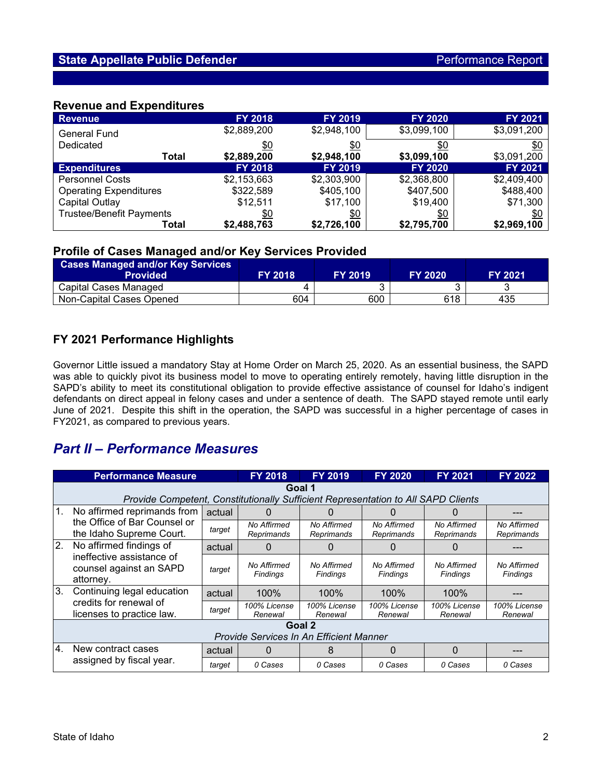### **Revenue and Expenditures**

| <b>Revenue</b>                  | <b>FY 2018</b>       | <b>FY 2019</b>    | <b>FY 2020</b> | <b>FY 2021</b> |  |
|---------------------------------|----------------------|-------------------|----------------|----------------|--|
| <b>General Fund</b>             | \$2,889,200          | \$2,948,100       | \$3,099,100    | \$3,091,200    |  |
| Dedicated                       | <u>\$0</u>           | <u>\$0</u><br>\$0 |                | <u>\$0</u>     |  |
| Total                           | \$2,889,200          | \$2,948,100       | \$3,099,100    | \$3,091,200    |  |
| <b>Expenditures</b>             | <b>FY 2018</b>       | <b>FY 2019</b>    | <b>FY 2020</b> | <b>FY 2021</b> |  |
| <b>Personnel Costs</b>          | \$2,153,663          | \$2,303,900       | \$2,368,800    | \$2,409,400    |  |
| <b>Operating Expenditures</b>   | \$322,589            | \$405,100         | \$407,500      | \$488,400      |  |
| Capital Outlay                  | \$12,511<br>\$17,100 |                   | \$19,400       | \$71,300       |  |
| <b>Trustee/Benefit Payments</b> | <u>\$0</u>           | \$0               | <u>\$0</u>     | \$0            |  |
| Total                           | \$2,488,763          | \$2,726,100       | \$2,795,700    | \$2,969,100    |  |

#### **Profile of Cases Managed and/or Key Services Provided**

| <b>Cases Managed and/or Key Services</b><br>Provided | <b>FY 2018</b> | <b>FY 2019.</b> | <b>FY 2020</b> | <b>FY 2021</b> |
|------------------------------------------------------|----------------|-----------------|----------------|----------------|
| Capital Cases Managed                                |                |                 |                |                |
| Non-Capital Cases Opened                             | 604            | 600             | 618            | 435            |

## **FY 2021 Performance Highlights**

Governor Little issued a mandatory Stay at Home Order on March 25, 2020. As an essential business, the SAPD was able to quickly pivot its business model to move to operating entirely remotely, having little disruption in the SAPD's ability to meet its constitutional obligation to provide effective assistance of counsel for Idaho's indigent defendants on direct appeal in felony cases and under a sentence of death. The SAPD stayed remote until early June of 2021. Despite this shift in the operation, the SAPD was successful in a higher percentage of cases in FY2021, as compared to previous years.

## *Part II – Performance Measures*

|                | <b>Performance Measure</b>                                                              |        | <b>FY 2018</b>            | <b>FY 2019</b>            | <b>FY 2020</b>            | <b>FY 2021</b>            | <b>FY 2022</b>            |  |  |
|----------------|-----------------------------------------------------------------------------------------|--------|---------------------------|---------------------------|---------------------------|---------------------------|---------------------------|--|--|
|                | Goal 1                                                                                  |        |                           |                           |                           |                           |                           |  |  |
|                | Provide Competent, Constitutionally Sufficient Representation to All SAPD Clients       |        |                           |                           |                           |                           |                           |  |  |
| $\mathbf{1}$ . | No affirmed reprimands from<br>the Office of Bar Counsel or<br>the Idaho Supreme Court. | actual | 0                         | $\Omega$                  | $\mathbf{0}$              | $\Box$                    |                           |  |  |
|                |                                                                                         | target | No Affirmed<br>Reprimands | No Affirmed<br>Reprimands | No Affirmed<br>Reprimands | No Affirmed<br>Reprimands | No Affirmed<br>Reprimands |  |  |
| 2.             | No affirmed findings of                                                                 | actual | $\Omega$                  |                           |                           | $\left($                  |                           |  |  |
|                | ineffective assistance of<br>counsel against an SAPD<br>attorney.                       | target | No Affirmed<br>Findings   | No Affirmed<br>Findings   | No Affirmed<br>Findings   | No Affirmed<br>Findings   | No Affirmed<br>Findings   |  |  |
| 3.             | Continuing legal education                                                              | actual | 100%                      | 100%                      | 100%                      | 100%                      |                           |  |  |
|                | credits for renewal of<br>licenses to practice law.                                     | target | 100% License<br>Renewal   | 100% License<br>Renewal   | 100% License<br>Renewal   | 100% License<br>Renewal   | 100% License<br>Renewal   |  |  |
|                | Goal 2                                                                                  |        |                           |                           |                           |                           |                           |  |  |
|                | Provide Services In An Efficient Manner                                                 |        |                           |                           |                           |                           |                           |  |  |
| 4.             | New contract cases<br>assigned by fiscal year.                                          | actual | 0                         | 8                         | 0                         | $\Omega$                  |                           |  |  |
|                |                                                                                         | target | 0 Cases                   | 0 Cases                   | 0 Cases                   | 0 Cases                   | 0 Cases                   |  |  |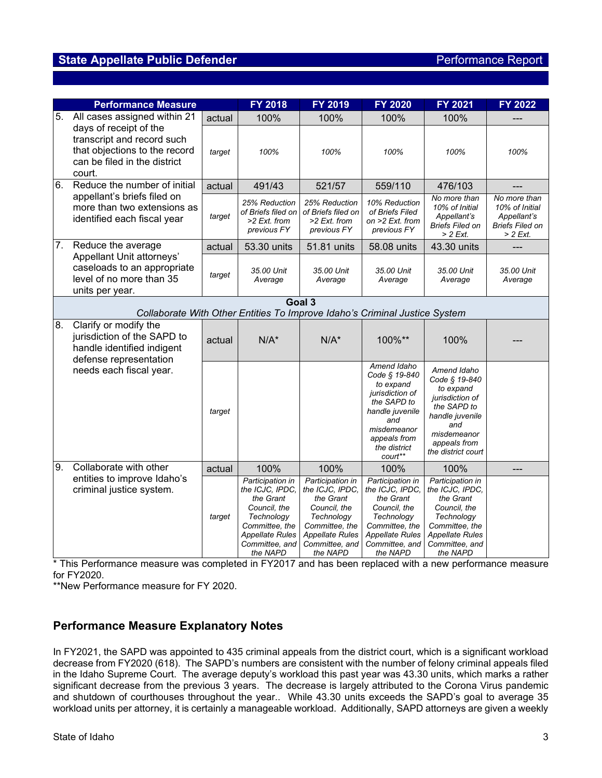## **State Appellate Public Defender Public Performance Report**

|    | <b>Performance Measure</b>                                                                                                                                      |        | <b>FY 2018</b>                                                                                                                                    | FY 2019                                                                                                                                           | <b>FY 2020</b>                                                                                                                                                  | FY 2021                                                                                                                                                    | <b>FY 2022</b>                                                                        |
|----|-----------------------------------------------------------------------------------------------------------------------------------------------------------------|--------|---------------------------------------------------------------------------------------------------------------------------------------------------|---------------------------------------------------------------------------------------------------------------------------------------------------|-----------------------------------------------------------------------------------------------------------------------------------------------------------------|------------------------------------------------------------------------------------------------------------------------------------------------------------|---------------------------------------------------------------------------------------|
| 5. | All cases assigned within 21<br>days of receipt of the<br>transcript and record such<br>that objections to the record<br>can be filed in the district<br>court. | actual | 100%                                                                                                                                              | 100%                                                                                                                                              | 100%                                                                                                                                                            | 100%                                                                                                                                                       |                                                                                       |
|    |                                                                                                                                                                 | target | 100%                                                                                                                                              | 100%                                                                                                                                              | 100%                                                                                                                                                            | 100%                                                                                                                                                       | 100%                                                                                  |
| 6. | Reduce the number of initial                                                                                                                                    | actual | 491/43                                                                                                                                            | 521/57                                                                                                                                            | 559/110                                                                                                                                                         | 476/103                                                                                                                                                    |                                                                                       |
|    | appellant's briefs filed on<br>more than two extensions as<br>identified each fiscal year                                                                       | target | 25% Reduction<br>of Briefs filed on<br>$>2$ Ext. from<br>previous FY                                                                              | 25% Reduction<br>of Briefs filed on<br>>2 Ext. from<br>previous FY                                                                                | 10% Reduction<br>of Briefs Filed<br>on >2 Ext. from<br>previous FY                                                                                              | No more than<br>10% of Initial<br>Appellant's<br><b>Briefs Filed on</b><br>$> 2$ Ext.                                                                      | No more than<br>10% of Initial<br>Appellant's<br><b>Briefs Filed on</b><br>$> 2$ Ext. |
| 7. | Reduce the average                                                                                                                                              | actual | 53.30 units                                                                                                                                       | 51.81 units                                                                                                                                       | 58.08 units                                                                                                                                                     | 43.30 units                                                                                                                                                |                                                                                       |
|    | Appellant Unit attorneys'<br>caseloads to an appropriate<br>level of no more than 35<br>units per year.                                                         | target | 35.00 Unit<br>Average                                                                                                                             | 35.00 Unit<br>Average                                                                                                                             | 35.00 Unit<br>Average                                                                                                                                           | 35.00 Unit<br>Average                                                                                                                                      | 35.00 Unit<br>Average                                                                 |
|    |                                                                                                                                                                 |        |                                                                                                                                                   | Goal 3                                                                                                                                            |                                                                                                                                                                 |                                                                                                                                                            |                                                                                       |
|    | Collaborate With Other Entities To Improve Idaho's Criminal Justice System                                                                                      |        |                                                                                                                                                   |                                                                                                                                                   |                                                                                                                                                                 |                                                                                                                                                            |                                                                                       |
| 8. | Clarify or modify the<br>jurisdiction of the SAPD to<br>handle identified indigent<br>defense representation<br>needs each fiscal year.                         | actual | $N/A^*$                                                                                                                                           | $N/A^*$                                                                                                                                           | 100%**                                                                                                                                                          | 100%                                                                                                                                                       |                                                                                       |
|    |                                                                                                                                                                 | target |                                                                                                                                                   |                                                                                                                                                   | Amend Idaho<br>Code § 19-840<br>to expand<br>jurisdiction of<br>the SAPD to<br>handle juvenile<br>and<br>misdemeanor<br>appeals from<br>the district<br>court** | Amend Idaho<br>Code § 19-840<br>to expand<br>jurisdiction of<br>the SAPD to<br>handle juvenile<br>and<br>misdemeanor<br>appeals from<br>the district court |                                                                                       |
| 9. | Collaborate with other                                                                                                                                          | actual | 100%                                                                                                                                              | 100%                                                                                                                                              | 100%                                                                                                                                                            | 100%                                                                                                                                                       |                                                                                       |
|    | entities to improve Idaho's<br>criminal justice system.                                                                                                         | target | Participation in<br>the ICJC, IPDC,<br>the Grant<br>Council, the<br>Technology<br>Committee, the<br>Appellate Rules<br>Committee, and<br>the NAPD | Participation in<br>the ICJC, IPDC,<br>the Grant<br>Council, the<br>Technology<br>Committee, the<br>Appellate Rules<br>Committee, and<br>the NAPD | Participation in<br>the ICJC, IPDC.<br>the Grant<br>Council, the<br>Technology<br>Committee, the<br><b>Appellate Rules</b><br>Committee, and<br>the NAPD        | Participation in<br>the ICJC, IPDC,<br>the Grant<br>Council, the<br>Technology<br>Committee, the<br><b>Appellate Rules</b><br>Committee, and<br>the NAPD   |                                                                                       |

\* This Performance measure was completed in FY2017 and has been replaced with a new performance measure for FY2020.

\*\*New Performance measure for FY 2020.

### **Performance Measure Explanatory Notes**

In FY2021, the SAPD was appointed to 435 criminal appeals from the district court, which is a significant workload decrease from FY2020 (618). The SAPD's numbers are consistent with the number of felony criminal appeals filed in the Idaho Supreme Court. The average deputy's workload this past year was 43.30 units, which marks a rather significant decrease from the previous 3 years. The decrease is largely attributed to the Corona Virus pandemic and shutdown of courthouses throughout the year.. While 43.30 units exceeds the SAPD's goal to average 35 workload units per attorney, it is certainly a manageable workload. Additionally, SAPD attorneys are given a weekly